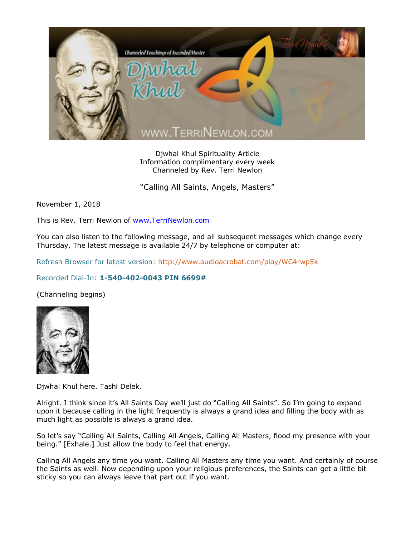

Djwhal Khul Spirituality Article Information complimentary every week Channeled by Rev. Terri Newlon

"Calling All Saints, Angels, Masters"

November 1, 2018

This is Rev. Terri Newlon of [www.TerriNewlon.com](http://www.terrinewlon.com/)

You can also listen to the following message, and all subsequent messages which change every Thursday. The latest message is available 24/7 by telephone or computer at:

Refresh Browser for latest version:<http://www.audioacrobat.com/play/WC4rwp5k>

## Recorded Dial-In: **1-540-402-0043 PIN 6699#**

(Channeling begins)



Djwhal Khul here. Tashi Delek.

Alright. I think since it's All Saints Day we'll just do "Calling All Saints". So I'm going to expand upon it because calling in the light frequently is always a grand idea and filling the body with as much light as possible is always a grand idea.

So let's say "Calling All Saints, Calling All Angels, Calling All Masters, flood my presence with your being." [Exhale.] Just allow the body to feel that energy.

Calling All Angels any time you want. Calling All Masters any time you want. And certainly of course the Saints as well. Now depending upon your religious preferences, the Saints can get a little bit sticky so you can always leave that part out if you want.